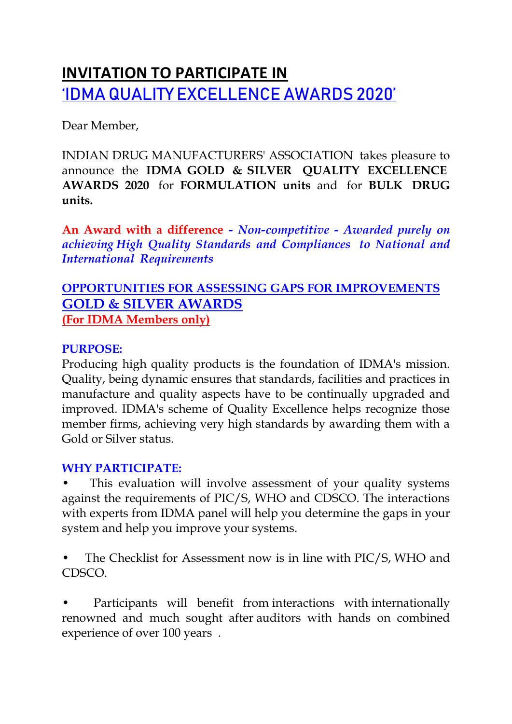# **INVITATION TO PARTICIPATE IN**  'IDMA QUALITY EXCELLENCE AWARDS 2020'

Dear Member,

INDIAN DRUG MANUFACTURERS' ASSOCIATION takes pleasure to announce the **IDMA GOLD & SILVER QUALITY EXCELLENCE AWARDS 2020** for **FORMULATION units** and for **BULK DRUG units.**

**An Award with a difference** *- Non-competitive - Awarded purely on achieving High Quality Standards and Compliances to National and International Requirements* 

## **OPPORTUNITIES FOR ASSESSING GAPS FOR IMPROVEMENTS GOLD & SILVER AWARDS (For IDMA Members only)**

#### **PURPOSE:**

Producing high quality products is the foundation of IDMA's mission. Quality, being dynamic ensures that standards, facilities and practices in manufacture and quality aspects have to be continually upgraded and improved. IDMA's scheme of Quality Excellence helps recognize those member firms, achieving very high standards by awarding them with a Gold or Silver status.

#### **WHY PARTICIPATE:**

This evaluation will involve assessment of your quality systems against the requirements of PIC/S, WHO and CDSCO. The interactions with experts from IDMA panel will help you determine the gaps in your system and help you improve your systems.

• The Checklist for Assessment now is in line with PIC/S, WHO and CDSCO.

Participants will benefit from interactions with internationally renowned and much sought after auditors with hands on combined experience of over 100 years .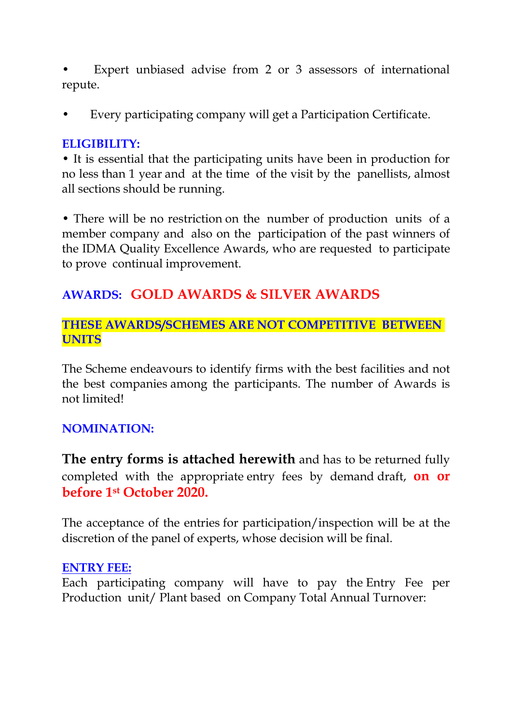Expert unbiased advise from 2 or 3 assessors of international repute.

• Every participating company will get a Participation Certificate.

#### **ELIGIBILITY:**

• It is essential that the participating units have been in production for no less than 1 year and at the time of the visit by the panellists, almost all sections should be running.

• There will be no restriction on the number of production units of a member company and also on the participation of the past winners of the IDMA Quality Excellence Awards, who are requested to participate to prove continual improvement.

# **AWARDS: GOLD AWARDS & SILVER AWARDS**

#### **THESE AWARDS/SCHEMES ARE NOT COMPETITIVE BETWEEN UNITS**

The Scheme endeavours to identify firms with the best facilities and not the best companies among the participants. The number of Awards is not limited!

## **NOMINATION:**

**The entry forms is attached herewith** and has to be returned fully completed with the appropriate entry fees by demand draft, **on or before 1st October 2020.** 

The acceptance of the entries for participation/inspection will be at the discretion of the panel of experts, whose decision will be final.

#### **ENTRY FEE:**

Each participating company will have to pay the Entry Fee per Production unit/ Plant based on Company Total Annual Turnover: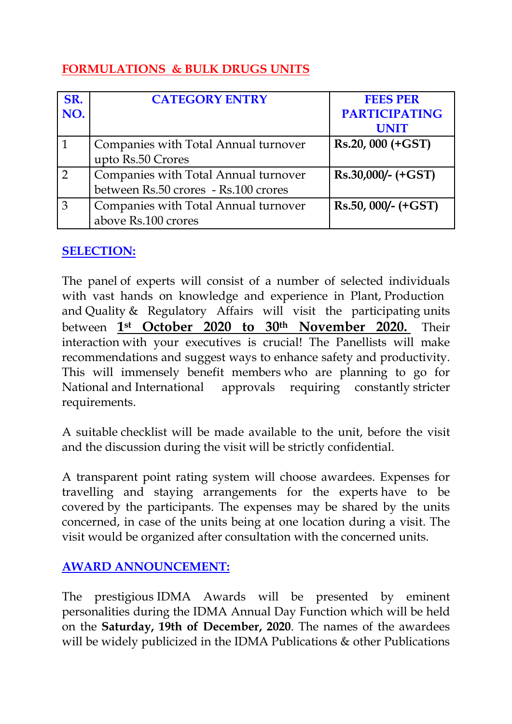# **FORMULATIONS & BULK DRUGS UNITS**

| SR.            | <b>CATEGORY ENTRY</b>                | <b>FEES PER</b>      |
|----------------|--------------------------------------|----------------------|
| NO.            |                                      | <b>PARTICIPATING</b> |
|                |                                      | <b>UNIT</b>          |
| 1              | Companies with Total Annual turnover | $Rs.20,000 (+GST)$   |
|                | upto Rs.50 Crores                    |                      |
| $\overline{2}$ | Companies with Total Annual turnover | $Rs.30,000/-(+GST)$  |
|                | between Rs.50 crores - Rs.100 crores |                      |
| 3              | Companies with Total Annual turnover | $Rs.50,000/-(+GST)$  |
|                | above Rs.100 crores                  |                      |

## **SELECTION:**

The panel of experts will consist of a number of selected individuals with vast hands on knowledge and experience in Plant, Production and Quality & Regulatory Affairs will visit the participating units between **1st October 2020 to 30th November 2020.** Their interaction with your executives is crucial! The Panellists will make recommendations and suggest ways to enhance safety and productivity. This will immensely benefit members who are planning to go for National and International approvals requiring constantly stricter requirements.

A suitable checklist will be made available to the unit, before the visit and the discussion during the visit will be strictly confidential.

A transparent point rating system will choose awardees. Expenses for travelling and staying arrangements for the experts have to be covered by the participants. The expenses may be shared by the units concerned, in case of the units being at one location during a visit. The visit would be organized after consultation with the concerned units.

## **AWARD ANNOUNCEMENT:**

The prestigious IDMA Awards will be presented by eminent personalities during the IDMA Annual Day Function which will be held on the **Saturday, 19th of December, 2020**. The names of the awardees will be widely publicized in the IDMA Publications & other Publications